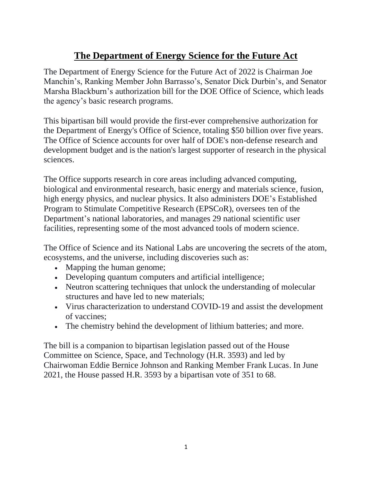# **The Department of Energy Science for the Future Act**

The Department of Energy Science for the Future Act of 2022 is Chairman Joe Manchin's, Ranking Member John Barrasso's, Senator Dick Durbin's, and Senator Marsha Blackburn's authorization bill for the DOE Office of Science, which leads the agency's basic research programs.

This bipartisan bill would provide the first-ever comprehensive authorization for the Department of Energy's Office of Science, totaling \$50 billion over five years. The Office of Science accounts for over half of DOE's non-defense research and development budget and is the nation's largest supporter of research in the physical sciences.

The Office supports research in core areas including advanced computing, biological and environmental research, basic energy and materials science, fusion, high energy physics, and nuclear physics. It also administers DOE's Established Program to Stimulate Competitive Research (EPSCoR), oversees ten of the Department's national laboratories, and manages 29 national scientific user facilities, representing some of the most advanced tools of modern science.

The Office of Science and its National Labs are uncovering the secrets of the atom, ecosystems, and the universe, including discoveries such as:

- Mapping the human genome;
- Developing quantum computers and artificial intelligence;
- Neutron scattering techniques that unlock the understanding of molecular structures and have led to new materials;
- Virus characterization to understand COVID-19 and assist the development of vaccines;
- The chemistry behind the development of lithium batteries; and more.

The bill is a companion to bipartisan legislation passed out of the House Committee on Science, Space, and Technology (H.R. 3593) and led by Chairwoman Eddie Bernice Johnson and Ranking Member Frank Lucas. In June 2021, the House passed H.R. 3593 by a bipartisan vote of 351 to 68.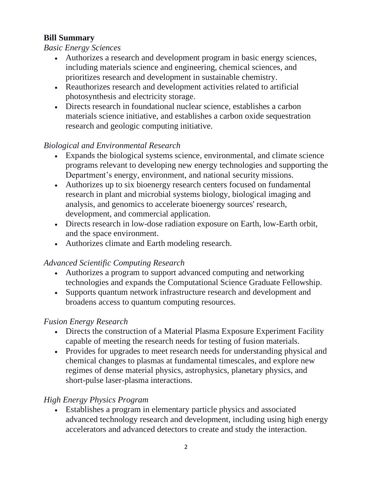## **Bill Summary**

#### *Basic Energy Sciences*

- Authorizes a research and development program in basic energy sciences, including materials science and engineering, chemical sciences, and prioritizes research and development in sustainable chemistry.
- Reauthorizes research and development activities related to artificial photosynthesis and electricity storage.
- Directs research in foundational nuclear science, establishes a carbon materials science initiative, and establishes a carbon oxide sequestration research and geologic computing initiative.

# *Biological and Environmental Research*

- Expands the biological systems science, environmental, and climate science programs relevant to developing new energy technologies and supporting the Department's energy, environment, and national security missions.
- Authorizes up to six bioenergy research centers focused on fundamental research in plant and microbial systems biology, biological imaging and analysis, and genomics to accelerate bioenergy sources' research, development, and commercial application.
- Directs research in low-dose radiation exposure on Earth, low-Earth orbit, and the space environment.
- Authorizes climate and Earth modeling research.

# *Advanced Scientific Computing Research*

- Authorizes a program to support advanced computing and networking technologies and expands the Computational Science Graduate Fellowship.
- Supports quantum network infrastructure research and development and broadens access to quantum computing resources.

## *Fusion Energy Research*

- Directs the construction of a Material Plasma Exposure Experiment Facility capable of meeting the research needs for testing of fusion materials.
- Provides for upgrades to meet research needs for understanding physical and chemical changes to plasmas at fundamental timescales, and explore new regimes of dense material physics, astrophysics, planetary physics, and short-pulse laser-plasma interactions.

# *High Energy Physics Program*

• Establishes a program in elementary particle physics and associated advanced technology research and development, including using high energy accelerators and advanced detectors to create and study the interaction.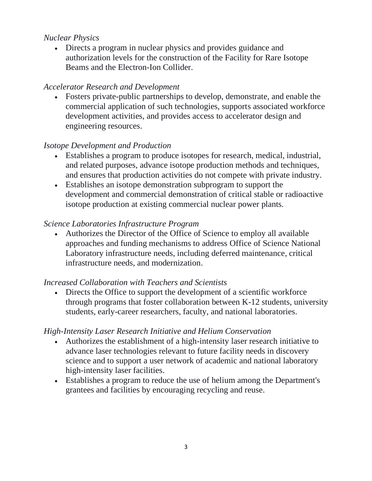#### *Nuclear Physics*

• Directs a program in nuclear physics and provides guidance and authorization levels for the construction of the Facility for Rare Isotope Beams and the Electron-Ion Collider.

### *Accelerator Research and Development*

• Fosters private-public partnerships to develop, demonstrate, and enable the commercial application of such technologies, supports associated workforce development activities, and provides access to accelerator design and engineering resources.

#### *Isotope Development and Production*

- Establishes a program to produce isotopes for research, medical, industrial, and related purposes, advance isotope production methods and techniques, and ensures that production activities do not compete with private industry.
- Establishes an isotope demonstration subprogram to support the development and commercial demonstration of critical stable or radioactive isotope production at existing commercial nuclear power plants.

### *Science Laboratories Infrastructure Program*

• Authorizes the Director of the Office of Science to employ all available approaches and funding mechanisms to address Office of Science National Laboratory infrastructure needs, including deferred maintenance, critical infrastructure needs, and modernization.

#### *Increased Collaboration with Teachers and Scientists*

• Directs the Office to support the development of a scientific workforce through programs that foster collaboration between K-12 students, university students, early-career researchers, faculty, and national laboratories.

#### *High-Intensity Laser Research Initiative and Helium Conservation*

- Authorizes the establishment of a high-intensity laser research initiative to advance laser technologies relevant to future facility needs in discovery science and to support a user network of academic and national laboratory high-intensity laser facilities.
- Establishes a program to reduce the use of helium among the Department's grantees and facilities by encouraging recycling and reuse.